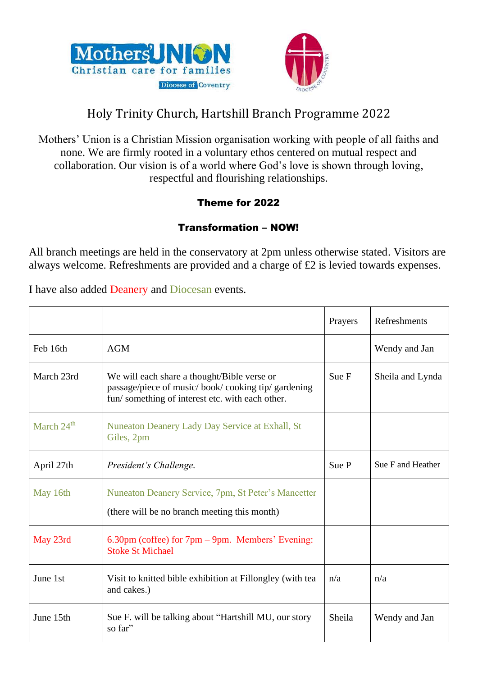



## Holy Trinity Church, Hartshill Branch Programme 2022

Mothers' Union is a Christian Mission organisation working with people of all faiths and none. We are firmly rooted in a voluntary ethos centered on mutual respect and collaboration. Our vision is of a world where God's love is shown through loving, respectful and flourishing relationships.

## Theme for 2022

## Transformation – NOW!

All branch meetings are held in the conservatory at 2pm unless otherwise stated. Visitors are always welcome. Refreshments are provided and a charge of £2 is levied towards expenses.

I have also added Deanery and Diocesan events.

|                        |                                                                                                                                                      | Prayers | Refreshments      |
|------------------------|------------------------------------------------------------------------------------------------------------------------------------------------------|---------|-------------------|
| Feb 16th               | <b>AGM</b>                                                                                                                                           |         | Wendy and Jan     |
| March 23rd             | We will each share a thought/Bible verse or<br>passage/piece of music/book/cooking tip/ gardening<br>fun/something of interest etc. with each other. | Sue F   | Sheila and Lynda  |
| March 24 <sup>th</sup> | Nuneaton Deanery Lady Day Service at Exhall, St<br>Giles, 2pm                                                                                        |         |                   |
| April 27th             | President's Challenge.                                                                                                                               | Sue P   | Sue F and Heather |
| May 16th               | Nuneaton Deanery Service, 7pm, St Peter's Mancetter<br>(there will be no branch meeting this month)                                                  |         |                   |
| May 23rd               | $6.30 \text{pm}$ (coffee) for $7 \text{pm} - 9 \text{pm}$ . Members' Evening:<br><b>Stoke St Michael</b>                                             |         |                   |
| June 1st               | Visit to knitted bible exhibition at Fillongley (with tea<br>and cakes.)                                                                             | n/a     | n/a               |
| June 15th              | Sue F. will be talking about "Hartshill MU, our story<br>so far"                                                                                     | Sheila  | Wendy and Jan     |